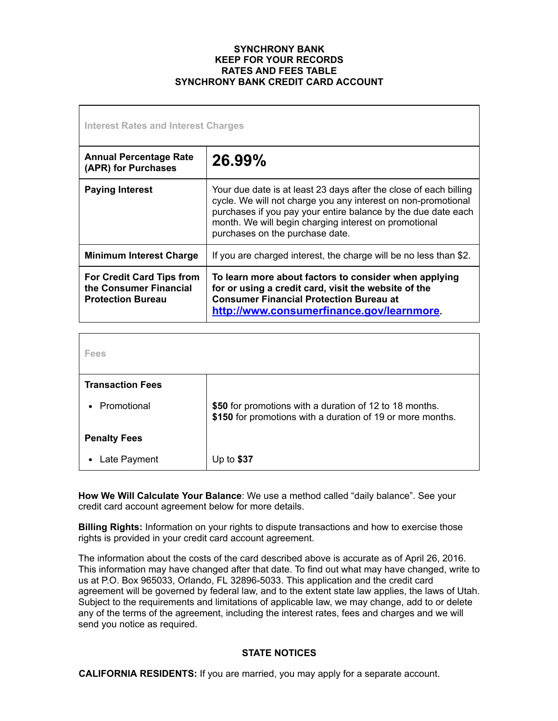### **SYNCHRONY BANK KEEP FOR YOUR RECORDS RATES AND FEES TABLE SYNCHRONY BANK CREDIT CARD ACCOUNT**

| Interest Rates and Interest Charges                                                    |                                                                                                                                                                                                                                                                                                 |
|----------------------------------------------------------------------------------------|-------------------------------------------------------------------------------------------------------------------------------------------------------------------------------------------------------------------------------------------------------------------------------------------------|
| <b>Annual Percentage Rate</b><br>(APR) for Purchases                                   | 26.99%                                                                                                                                                                                                                                                                                          |
| <b>Paying Interest</b>                                                                 | Your due date is at least 23 days after the close of each billing<br>cycle. We will not charge you any interest on non-promotional<br>purchases if you pay your entire balance by the due date each<br>month. We will begin charging interest on promotional<br>purchases on the purchase date. |
| <b>Minimum Interest Charge</b>                                                         | If you are charged interest, the charge will be no less than \$2.                                                                                                                                                                                                                               |
| <b>For Credit Card Tips from</b><br>the Consumer Financial<br><b>Protection Bureau</b> | To learn more about factors to consider when applying<br>for or using a credit card, visit the website of the<br><b>Consumer Financial Protection Bureau at</b><br>http://www.consumerfinance.gov/learnmore.                                                                                    |

| Fees                    |                                                                                                                       |
|-------------------------|-----------------------------------------------------------------------------------------------------------------------|
| <b>Transaction Fees</b> |                                                                                                                       |
| Promotional             | \$50 for promotions with a duration of 12 to 18 months.<br>\$150 for promotions with a duration of 19 or more months. |
| <b>Penalty Fees</b>     |                                                                                                                       |
| Late Payment            | Up to $$37$                                                                                                           |

**How We Will Calculate Your Balance**: We use a method called "daily balance". See your credit card account agreement below for more details.

**Billing Rights:** Information on your rights to dispute transactions and how to exercise those rights is provided in your credit card account agreement.

The information about the costs of the card described above is accurate as of April 26, 2016. This information may have changed after that date. To find out what may have changed, write to us at P.O. Box 965033, Orlando, FL 32896-5033. This application and the credit card agreement will be governed by federal law, and to the extent state law applies, the laws of Utah. Subject to the requirements and limitations of applicable law, we may change, add to or delete any of the terms of the agreement, including the interest rates, fees and charges and we will send you notice as required.

# **STATE NOTICES**

**CALIFORNIA RESIDENTS:** If you are married, you may apply for a separate account.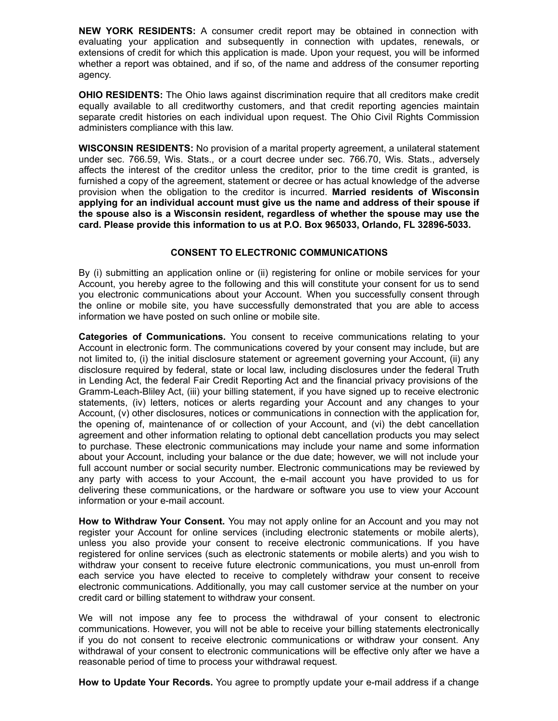**NEW YORK RESIDENTS:** A consumer credit report may be obtained in connection with evaluating your application and subsequently in connection with updates, renewals, or extensions of credit for which this application is made. Upon your request, you will be informed whether a report was obtained, and if so, of the name and address of the consumer reporting agency.

**OHIO RESIDENTS:** The Ohio laws against discrimination require that all creditors make credit equally available to all creditworthy customers, and that credit reporting agencies maintain separate credit histories on each individual upon request. The Ohio Civil Rights Commission administers compliance with this law.

**WISCONSIN RESIDENTS:** No provision of a marital property agreement, a unilateral statement under sec. 766.59, Wis. Stats., or a court decree under sec. 766.70, Wis. Stats., adversely affects the interest of the creditor unless the creditor, prior to the time credit is granted, is furnished a copy of the agreement, statement or decree or has actual knowledge of the adverse provision when the obligation to the creditor is incurred. **Married residents of Wisconsin applying for an individual account must give us the name and address of their spouse if the spouse also is a Wisconsin resident, regardless of whether the spouse may use the card. Please provide this information to us at P.O. Box 965033, Orlando, FL 328965033.**

# **CONSENT TO ELECTRONIC COMMUNICATIONS**

By (i) submitting an application online or (ii) registering for online or mobile services for your Account, you hereby agree to the following and this will constitute your consent for us to send you electronic communications about your Account. When you successfully consent through the online or mobile site, you have successfully demonstrated that you are able to access information we have posted on such online or mobile site.

**Categories of Communications.** You consent to receive communications relating to your Account in electronic form. The communications covered by your consent may include, but are not limited to, (i) the initial disclosure statement or agreement governing your Account, (ii) any disclosure required by federal, state or local law, including disclosures under the federal Truth in Lending Act, the federal Fair Credit Reporting Act and the financial privacy provisions of the Gramm-Leach-Bliley Act, (iii) your billing statement, if you have signed up to receive electronic statements, (iv) letters, notices or alerts regarding your Account and any changes to your Account, (v) other disclosures, notices or communications in connection with the application for, the opening of, maintenance of or collection of your Account, and (vi) the debt cancellation agreement and other information relating to optional debt cancellation products you may select to purchase. These electronic communications may include your name and some information about your Account, including your balance or the due date; however, we will not include your full account number or social security number. Electronic communications may be reviewed by any party with access to your Account, the email account you have provided to us for delivering these communications, or the hardware or software you use to view your Account information or your e-mail account.

**How to Withdraw Your Consent.** You may not apply online for an Account and you may not register your Account for online services (including electronic statements or mobile alerts), unless you also provide your consent to receive electronic communications. If you have registered for online services (such as electronic statements or mobile alerts) and you wish to withdraw your consent to receive future electronic communications, you must unenroll from each service you have elected to receive to completely withdraw your consent to receive electronic communications. Additionally, you may call customer service at the number on your credit card or billing statement to withdraw your consent.

We will not impose any fee to process the withdrawal of your consent to electronic communications. However, you will not be able to receive your billing statements electronically if you do not consent to receive electronic communications or withdraw your consent. Any withdrawal of your consent to electronic communications will be effective only after we have a reasonable period of time to process your withdrawal request.

**How to Update Your Records.** You agree to promptly update your e-mail address if a change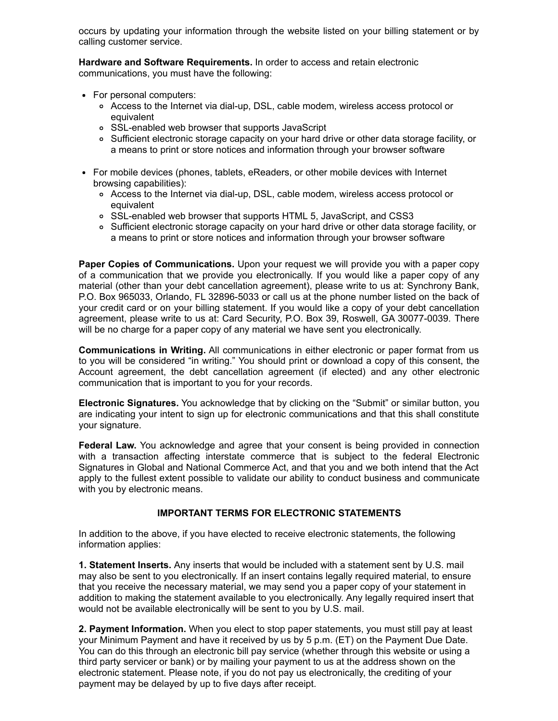occurs by updating your information through the website listed on your billing statement or by calling customer service.

**Hardware and Software Requirements.** In order to access and retain electronic communications, you must have the following:

- For personal computers:
	- o Access to the Internet via dial-up, DSL, cable modem, wireless access protocol or equivalent
	- SSLenabled web browser that supports JavaScript
	- Sufficient electronic storage capacity on your hard drive or other data storage facility, or a means to print or store notices and information through your browser software
- For mobile devices (phones, tablets, eReaders, or other mobile devices with Internet browsing capabilities):
	- o Access to the Internet via dial-up, DSL, cable modem, wireless access protocol or equivalent
	- SSLenabled web browser that supports HTML 5, JavaScript, and CSS3
	- Sufficient electronic storage capacity on your hard drive or other data storage facility, or a means to print or store notices and information through your browser software

**Paper Copies of Communications.** Upon your request we will provide you with a paper copy of a communication that we provide you electronically. If you would like a paper copy of any material (other than your debt cancellation agreement), please write to us at: Synchrony Bank, P.O. Box 965033, Orlando, FL 32896-5033 or call us at the phone number listed on the back of your credit card or on your billing statement. If you would like a copy of your debt cancellation agreement, please write to us at: Card Security, P.O. Box 39, Roswell, GA 30077-0039. There will be no charge for a paper copy of any material we have sent you electronically.

**Communications in Writing.** All communications in either electronic or paper format from us to you will be considered "in writing." You should print or download a copy of this consent, the Account agreement, the debt cancellation agreement (if elected) and any other electronic communication that is important to you for your records.

**Electronic Signatures.** You acknowledge that by clicking on the "Submit" or similar button, you are indicating your intent to sign up for electronic communications and that this shall constitute your signature.

**Federal Law.** You acknowledge and agree that your consent is being provided in connection with a transaction affecting interstate commerce that is subject to the federal Electronic Signatures in Global and National Commerce Act, and that you and we both intend that the Act apply to the fullest extent possible to validate our ability to conduct business and communicate with you by electronic means.

# **IMPORTANT TERMS FOR ELECTRONIC STATEMENTS**

In addition to the above, if you have elected to receive electronic statements, the following information applies:

**1. Statement Inserts.** Any inserts that would be included with a statement sent by U.S. mail may also be sent to you electronically. If an insert contains legally required material, to ensure that you receive the necessary material, we may send you a paper copy of your statement in addition to making the statement available to you electronically. Any legally required insert that would not be available electronically will be sent to you by U.S. mail.

**2. Payment Information.** When you elect to stop paper statements, you must still pay at least your Minimum Payment and have it received by us by 5 p.m. (ET) on the Payment Due Date. You can do this through an electronic bill pay service (whether through this website or using a third party servicer or bank) or by mailing your payment to us at the address shown on the electronic statement. Please note, if you do not pay us electronically, the crediting of your payment may be delayed by up to five days after receipt.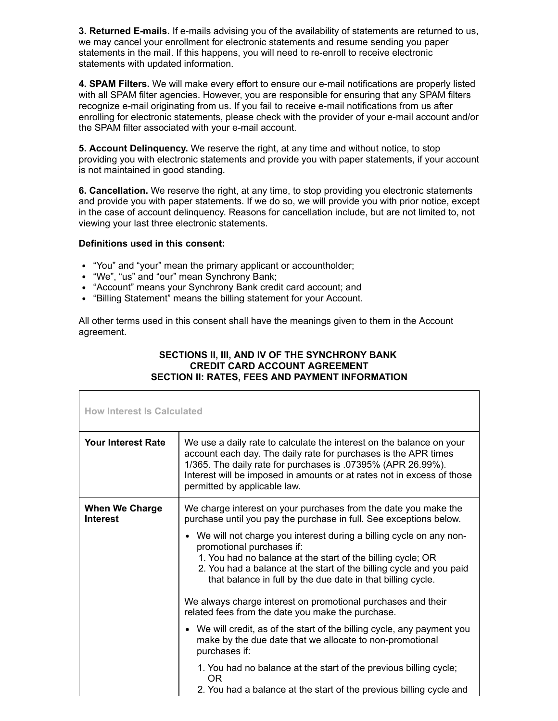**3. Returned E-mails.** If e-mails advising you of the availability of statements are returned to us, we may cancel your enrollment for electronic statements and resume sending you paper statements in the mail. If this happens, you will need to re-enroll to receive electronic statements with updated information.

**4. SPAM Filters.** We will make every effort to ensure our e-mail notifications are properly listed with all SPAM filter agencies. However, you are responsible for ensuring that any SPAM filters recognize e-mail originating from us. If you fail to receive e-mail notifications from us after enrolling for electronic statements, please check with the provider of your e-mail account and/or the SPAM filter associated with your e-mail account.

**5. Account Delinquency.** We reserve the right, at any time and without notice, to stop providing you with electronic statements and provide you with paper statements, if your account is not maintained in good standing.

**6. Cancellation.** We reserve the right, at any time, to stop providing you electronic statements and provide you with paper statements. If we do so, we will provide you with prior notice, except in the case of account delinquency. Reasons for cancellation include, but are not limited to, not viewing your last three electronic statements.

# **Definitions used in this consent:**

- "You" and "your" mean the primary applicant or accountholder;
- "We", "us" and "our" mean Synchrony Bank;
- "Account" means your Synchrony Bank credit card account; and
- "Billing Statement" means the billing statement for your Account.

All other terms used in this consent shall have the meanings given to them in the Account agreement.

# **SECTIONS II, III, AND IV OF THE SYNCHRONY BANK CREDIT CARD ACCOUNT AGREEMENT SECTION II: RATES, FEES AND PAYMENT INFORMATION**

| <b>How Interest Is Calculated</b>        |                                                                                                                                                                                                                                                                                                                                                                                                                                                                                                                                                                                                                                                                                                                              |
|------------------------------------------|------------------------------------------------------------------------------------------------------------------------------------------------------------------------------------------------------------------------------------------------------------------------------------------------------------------------------------------------------------------------------------------------------------------------------------------------------------------------------------------------------------------------------------------------------------------------------------------------------------------------------------------------------------------------------------------------------------------------------|
| <b>Your Interest Rate</b>                | We use a daily rate to calculate the interest on the balance on your<br>account each day. The daily rate for purchases is the APR times<br>1/365. The daily rate for purchases is .07395% (APR 26.99%).<br>Interest will be imposed in amounts or at rates not in excess of those<br>permitted by applicable law.                                                                                                                                                                                                                                                                                                                                                                                                            |
| <b>When We Charge</b><br><b>Interest</b> | We charge interest on your purchases from the date you make the<br>purchase until you pay the purchase in full. See exceptions below.<br>• We will not charge you interest during a billing cycle on any non-<br>promotional purchases if:<br>1. You had no balance at the start of the billing cycle; OR<br>2. You had a balance at the start of the billing cycle and you paid<br>that balance in full by the due date in that billing cycle.<br>We always charge interest on promotional purchases and their<br>related fees from the date you make the purchase.<br>• We will credit, as of the start of the billing cycle, any payment you<br>make by the due date that we allocate to non-promotional<br>purchases if: |
|                                          | 1. You had no balance at the start of the previous billing cycle;<br>OR.<br>2. You had a balance at the start of the previous billing cycle and                                                                                                                                                                                                                                                                                                                                                                                                                                                                                                                                                                              |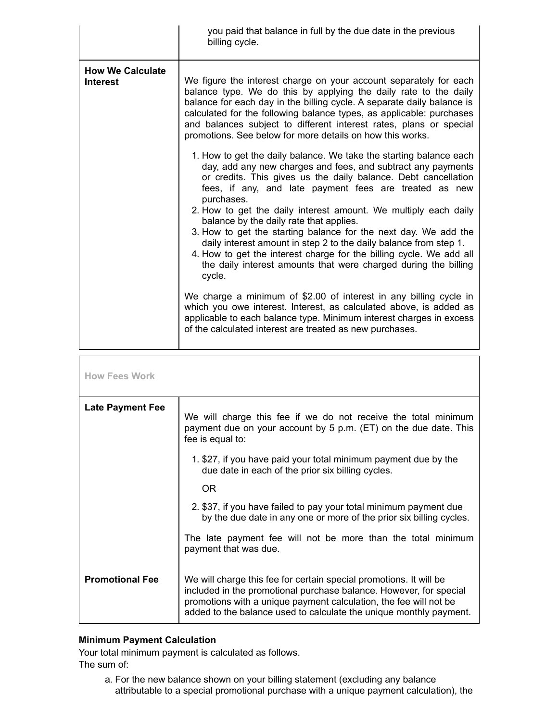|                                            | you paid that balance in full by the due date in the previous<br>billing cycle.                                                                                                                                                                                                                                                                                                                                                                                                                                                                                                                                                                                                        |
|--------------------------------------------|----------------------------------------------------------------------------------------------------------------------------------------------------------------------------------------------------------------------------------------------------------------------------------------------------------------------------------------------------------------------------------------------------------------------------------------------------------------------------------------------------------------------------------------------------------------------------------------------------------------------------------------------------------------------------------------|
| <b>How We Calculate</b><br><b>Interest</b> | We figure the interest charge on your account separately for each<br>balance type. We do this by applying the daily rate to the daily<br>balance for each day in the billing cycle. A separate daily balance is<br>calculated for the following balance types, as applicable: purchases<br>and balances subject to different interest rates, plans or special<br>promotions. See below for more details on how this works.                                                                                                                                                                                                                                                             |
|                                            | 1. How to get the daily balance. We take the starting balance each<br>day, add any new charges and fees, and subtract any payments<br>or credits. This gives us the daily balance. Debt cancellation<br>fees, if any, and late payment fees are treated as new<br>purchases.<br>2. How to get the daily interest amount. We multiply each daily<br>balance by the daily rate that applies.<br>3. How to get the starting balance for the next day. We add the<br>daily interest amount in step 2 to the daily balance from step 1.<br>4. How to get the interest charge for the billing cycle. We add all<br>the daily interest amounts that were charged during the billing<br>cycle. |
|                                            | We charge a minimum of \$2.00 of interest in any billing cycle in<br>which you owe interest. Interest, as calculated above, is added as<br>applicable to each balance type. Minimum interest charges in excess<br>of the calculated interest are treated as new purchases.                                                                                                                                                                                                                                                                                                                                                                                                             |
| <b>How Fees Work</b>                       |                                                                                                                                                                                                                                                                                                                                                                                                                                                                                                                                                                                                                                                                                        |

| <b>Late Payment Fee</b> | We will charge this fee if we do not receive the total minimum<br>payment due on your account by 5 p.m. (ET) on the due date. This<br>fee is equal to:                                                                                                                              |
|-------------------------|-------------------------------------------------------------------------------------------------------------------------------------------------------------------------------------------------------------------------------------------------------------------------------------|
|                         | 1. \$27, if you have paid your total minimum payment due by the<br>due date in each of the prior six billing cycles.                                                                                                                                                                |
|                         | OR.                                                                                                                                                                                                                                                                                 |
|                         | 2. \$37, if you have failed to pay your total minimum payment due<br>by the due date in any one or more of the prior six billing cycles.                                                                                                                                            |
|                         | The late payment fee will not be more than the total minimum<br>payment that was due.                                                                                                                                                                                               |
| <b>Promotional Fee</b>  | We will charge this fee for certain special promotions. It will be<br>included in the promotional purchase balance. However, for special<br>promotions with a unique payment calculation, the fee will not be<br>added to the balance used to calculate the unique monthly payment. |

# **Minimum Payment Calculation**

Your total minimum payment is calculated as follows.

The sum of:

a. For the new balance shown on your billing statement (excluding any balance attributable to a special promotional purchase with a unique payment calculation), the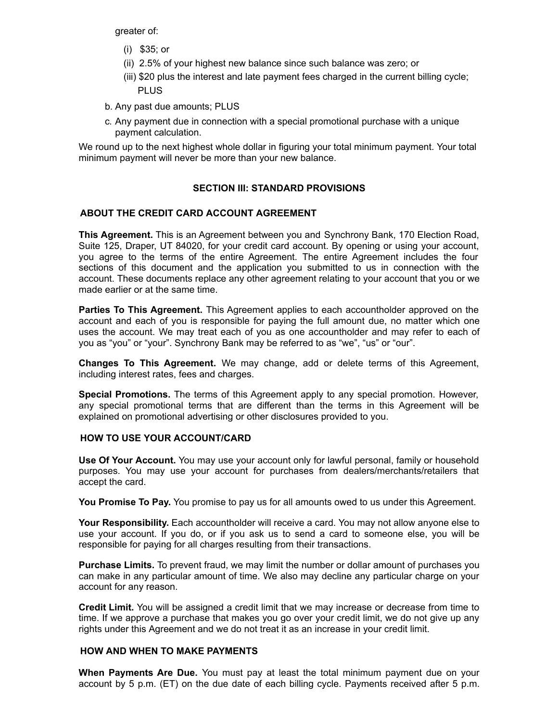greater of:

- (i) \$35; or
- (ii) 2.5% of your highest new balance since such balance was zero; or
- (iii) \$20 plus the interest and late payment fees charged in the current billing cycle; PLUS
- b. Any past due amounts; PLUS
- c. Any payment due in connection with a special promotional purchase with a unique payment calculation.

We round up to the next highest whole dollar in figuring your total minimum payment. Your total minimum payment will never be more than your new balance.

# **SECTION III: STANDARD PROVISIONS**

# **ABOUT THE CREDIT CARD ACCOUNT AGREEMENT**

**This Agreement.** This is an Agreement between you and Synchrony Bank, 170 Election Road, Suite 125, Draper, UT 84020, for your credit card account. By opening or using your account, you agree to the terms of the entire Agreement. The entire Agreement includes the four sections of this document and the application you submitted to us in connection with the account. These documents replace any other agreement relating to your account that you or we made earlier or at the same time.

**Parties To This Agreement.** This Agreement applies to each accountholder approved on the account and each of you is responsible for paying the full amount due, no matter which one uses the account. We may treat each of you as one accountholder and may refer to each of you as "you" or "your". Synchrony Bank may be referred to as "we", "us" or "our".

**Changes To This Agreement.** We may change, add or delete terms of this Agreement, including interest rates, fees and charges.

**Special Promotions.** The terms of this Agreement apply to any special promotion. However, any special promotional terms that are different than the terms in this Agreement will be explained on promotional advertising or other disclosures provided to you.

# **HOW TO USE YOUR ACCOUNT/CARD**

**Use Of Your Account.** You may use your account only for lawful personal, family or household purposes. You may use your account for purchases from dealers/merchants/retailers that accept the card.

**You Promise To Pay.** You promise to pay us for all amounts owed to us under this Agreement.

**Your Responsibility.** Each accountholder will receive a card. You may not allow anyone else to use your account. If you do, or if you ask us to send a card to someone else, you will be responsible for paying for all charges resulting from their transactions.

**Purchase Limits.** To prevent fraud, we may limit the number or dollar amount of purchases you can make in any particular amount of time. We also may decline any particular charge on your account for any reason.

**Credit Limit.** You will be assigned a credit limit that we may increase or decrease from time to time. If we approve a purchase that makes you go over your credit limit, we do not give up any rights under this Agreement and we do not treat it as an increase in your credit limit.

# **HOW AND WHEN TO MAKE PAYMENTS**

**When Payments Are Due.** You must pay at least the total minimum payment due on your account by 5 p.m. (ET) on the due date of each billing cycle. Payments received after 5 p.m.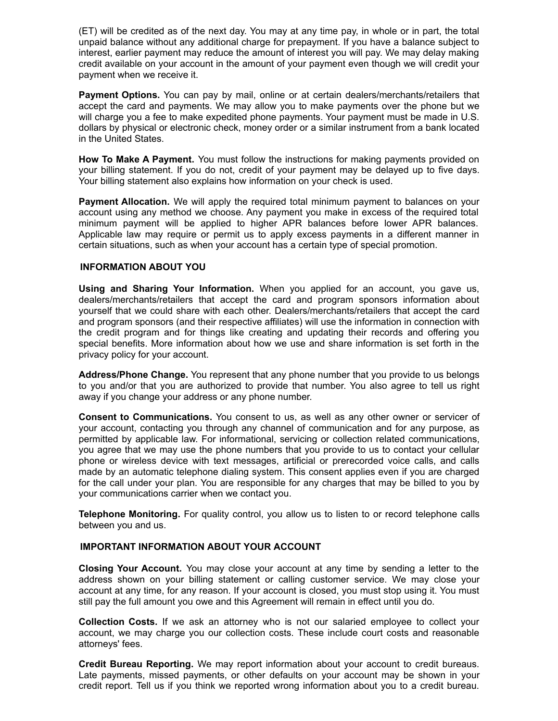(ET) will be credited as of the next day. You may at any time pay, in whole or in part, the total unpaid balance without any additional charge for prepayment. If you have a balance subject to interest, earlier payment may reduce the amount of interest you will pay. We may delay making credit available on your account in the amount of your payment even though we will credit your payment when we receive it.

**Payment Options.** You can pay by mail, online or at certain dealers/merchants/retailers that accept the card and payments. We may allow you to make payments over the phone but we will charge you a fee to make expedited phone payments. Your payment must be made in U.S. dollars by physical or electronic check, money order or a similar instrument from a bank located in the United States.

**How To Make A Payment.** You must follow the instructions for making payments provided on your billing statement. If you do not, credit of your payment may be delayed up to five days. Your billing statement also explains how information on your check is used.

**Payment Allocation.** We will apply the required total minimum payment to balances on your account using any method we choose. Any payment you make in excess of the required total minimum payment will be applied to higher APR balances before lower APR balances. Applicable law may require or permit us to apply excess payments in a different manner in certain situations, such as when your account has a certain type of special promotion.

## **INFORMATION ABOUT YOU**

**Using and Sharing Your Information.** When you applied for an account, you gave us, dealers/merchants/retailers that accept the card and program sponsors information about yourself that we could share with each other. Dealers/merchants/retailers that accept the card and program sponsors (and their respective affiliates) will use the information in connection with the credit program and for things like creating and updating their records and offering you special benefits. More information about how we use and share information is set forth in the privacy policy for your account.

**Address/Phone Change.** You represent that any phone number that you provide to us belongs to you and/or that you are authorized to provide that number. You also agree to tell us right away if you change your address or any phone number.

**Consent to Communications.** You consent to us, as well as any other owner or servicer of your account, contacting you through any channel of communication and for any purpose, as permitted by applicable law. For informational, servicing or collection related communications, you agree that we may use the phone numbers that you provide to us to contact your cellular phone or wireless device with text messages, artificial or prerecorded voice calls, and calls made by an automatic telephone dialing system. This consent applies even if you are charged for the call under your plan. You are responsible for any charges that may be billed to you by your communications carrier when we contact you.

**Telephone Monitoring.** For quality control, you allow us to listen to or record telephone calls between you and us.

### **IMPORTANT INFORMATION ABOUT YOUR ACCOUNT**

**Closing Your Account.** You may close your account at any time by sending a letter to the address shown on your billing statement or calling customer service. We may close your account at any time, for any reason. If your account is closed, you must stop using it. You must still pay the full amount you owe and this Agreement will remain in effect until you do.

**Collection Costs.** If we ask an attorney who is not our salaried employee to collect your account, we may charge you our collection costs. These include court costs and reasonable attorneys' fees.

**Credit Bureau Reporting.** We may report information about your account to credit bureaus. Late payments, missed payments, or other defaults on your account may be shown in your credit report. Tell us if you think we reported wrong information about you to a credit bureau.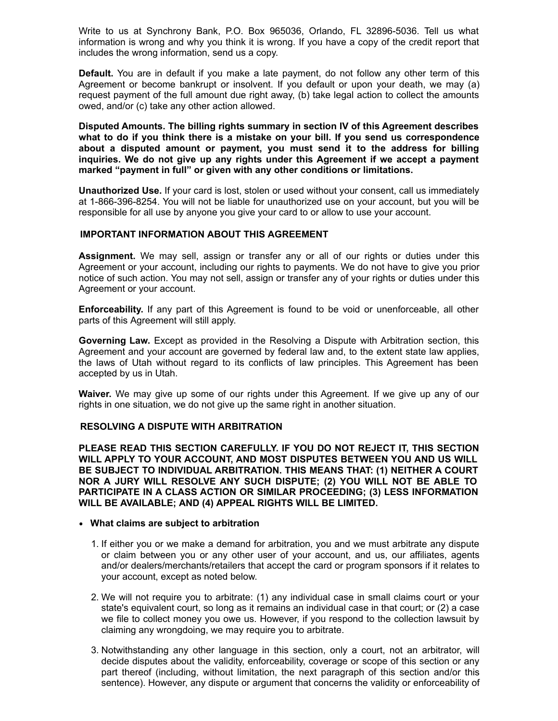Write to us at Synchrony Bank, P.O. Box 965036, Orlando, FL 32896-5036. Tell us what information is wrong and why you think it is wrong. If you have a copy of the credit report that includes the wrong information, send us a copy.

**Default.** You are in default if you make a late payment, do not follow any other term of this Agreement or become bankrupt or insolvent. If you default or upon your death, we may (a) request payment of the full amount due right away, (b) take legal action to collect the amounts owed, and/or (c) take any other action allowed.

**Disputed Amounts. The billing rights summary in section IV of this Agreement describes what to do if you think there is a mistake on your bill. If you send us correspondence about a disputed amount or payment, you must send it to the address for billing inquiries. We do not give up any rights under this Agreement if we accept a payment marked "payment in full" or given with any other conditions or limitations.**

**Unauthorized Use.** If your card is lost, stolen or used without your consent, call us immediately at 1-866-396-8254. You will not be liable for unauthorized use on your account, but you will be responsible for all use by anyone you give your card to or allow to use your account.

#### **IMPORTANT INFORMATION ABOUT THIS AGREEMENT**

**Assignment.** We may sell, assign or transfer any or all of our rights or duties under this Agreement or your account, including our rights to payments. We do not have to give you prior notice of such action. You may not sell, assign or transfer any of your rights or duties under this Agreement or your account.

**Enforceability.** If any part of this Agreement is found to be void or unenforceable, all other parts of this Agreement will still apply.

**Governing Law.** Except as provided in the Resolving a Dispute with Arbitration section, this Agreement and your account are governed by federal law and, to the extent state law applies, the laws of Utah without regard to its conflicts of law principles. This Agreement has been accepted by us in Utah.

**Waiver.** We may give up some of our rights under this Agreement. If we give up any of our rights in one situation, we do not give up the same right in another situation.

#### **RESOLVING A DISPUTE WITH ARBITRATION**

**PLEASE READ THIS SECTION CAREFULLY. IF YOU DO NOT REJECT IT, THIS SECTION WILL APPLY TO YOUR ACCOUNT, AND MOST DISPUTES BETWEEN YOU AND US WILL BE SUBJECT TO INDIVIDUAL ARBITRATION. THIS MEANS THAT: (1) NEITHER A COURT NOR A JURY WILL RESOLVE ANY SUCH DISPUTE; (2) YOU WILL NOT BE ABLE TO PARTICIPATE IN A CLASS ACTION OR SIMILAR PROCEEDING; (3) LESS INFORMATION WILL BE AVAILABLE; AND (4) APPEAL RIGHTS WILL BE LIMITED.**

#### **What claims are subject to arbitration**

- 1. If either you or we make a demand for arbitration, you and we must arbitrate any dispute or claim between you or any other user of your account, and us, our affiliates, agents and/or dealers/merchants/retailers that accept the card or program sponsors if it relates to your account, except as noted below.
- 2. We will not require you to arbitrate: (1) any individual case in small claims court or your state's equivalent court, so long as it remains an individual case in that court; or (2) a case we file to collect money you owe us. However, if you respond to the collection lawsuit by claiming any wrongdoing, we may require you to arbitrate.
- 3. Notwithstanding any other language in this section, only a court, not an arbitrator, will decide disputes about the validity, enforceability, coverage or scope of this section or any part thereof (including, without limitation, the next paragraph of this section and/or this sentence). However, any dispute or argument that concerns the validity or enforceability of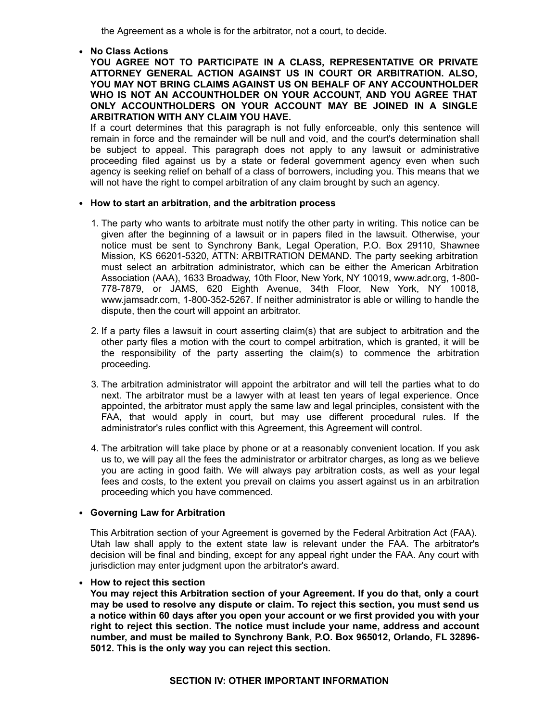the Agreement as a whole is for the arbitrator, not a court, to decide.

**No Class Actions**

**YOU AGREE NOT TO PARTICIPATE IN A CLASS, REPRESENTATIVE OR PRIVATE ATTORNEY GENERAL ACTION AGAINST US IN COURT OR ARBITRATION. ALSO, YOU MAY NOT BRING CLAIMS AGAINST US ON BEHALF OF ANY ACCOUNTHOLDER WHO IS NOT AN ACCOUNTHOLDER ON YOUR ACCOUNT, AND YOU AGREE THAT ONLY ACCOUNTHOLDERS ON YOUR ACCOUNT MAY BE JOINED IN A SINGLE ARBITRATION WITH ANY CLAIM YOU HAVE.**

If a court determines that this paragraph is not fully enforceable, only this sentence will remain in force and the remainder will be null and void, and the court's determination shall be subject to appeal. This paragraph does not apply to any lawsuit or administrative proceeding filed against us by a state or federal government agency even when such agency is seeking relief on behalf of a class of borrowers, including you. This means that we will not have the right to compel arbitration of any claim brought by such an agency.

## **How to start an arbitration, and the arbitration process**

- 1. The party who wants to arbitrate must notify the other party in writing. This notice can be given after the beginning of a lawsuit or in papers filed in the lawsuit. Otherwise, your notice must be sent to Synchrony Bank, Legal Operation, P.O. Box 29110, Shawnee Mission, KS 66201-5320, ATTN: ARBITRATION DEMAND. The party seeking arbitration must select an arbitration administrator, which can be either the American Arbitration Association (AAA), 1633 Broadway, 10th Floor, New York, NY 10019, www.adr.org, 1-800-778-7879, or JAMS, 620 Eighth Avenue, 34th Floor, New York, NY 10018, www.jamsadr.com, 1-800-352-5267. If neither administrator is able or willing to handle the dispute, then the court will appoint an arbitrator.
- 2. If a party files a lawsuit in court asserting claim(s) that are subject to arbitration and the other party files a motion with the court to compel arbitration, which is granted, it will be the responsibility of the party asserting the claim(s) to commence the arbitration proceeding.
- 3. The arbitration administrator will appoint the arbitrator and will tell the parties what to do next. The arbitrator must be a lawyer with at least ten years of legal experience. Once appointed, the arbitrator must apply the same law and legal principles, consistent with the FAA, that would apply in court, but may use different procedural rules. If the administrator's rules conflict with this Agreement, this Agreement will control.
- 4. The arbitration will take place by phone or at a reasonably convenient location. If you ask us to, we will pay all the fees the administrator or arbitrator charges, as long as we believe you are acting in good faith. We will always pay arbitration costs, as well as your legal fees and costs, to the extent you prevail on claims you assert against us in an arbitration proceeding which you have commenced.

# **Governing Law for Arbitration**

This Arbitration section of your Agreement is governed by the Federal Arbitration Act (FAA). Utah law shall apply to the extent state law is relevant under the FAA. The arbitrator's decision will be final and binding, except for any appeal right under the FAA. Any court with jurisdiction may enter judgment upon the arbitrator's award.

### **How to reject this section**

**You may reject this Arbitration section of your Agreement. If you do that, only a court may be used to resolve any dispute or claim. To reject this section, you must send us a notice within 60 days after you open your account or we first provided you with your right to reject this section. The notice must include your name, address and account number, and must be mailed to Synchrony Bank, P.O. Box 965012, Orlando, FL 32896 5012. This is the only way you can reject this section.**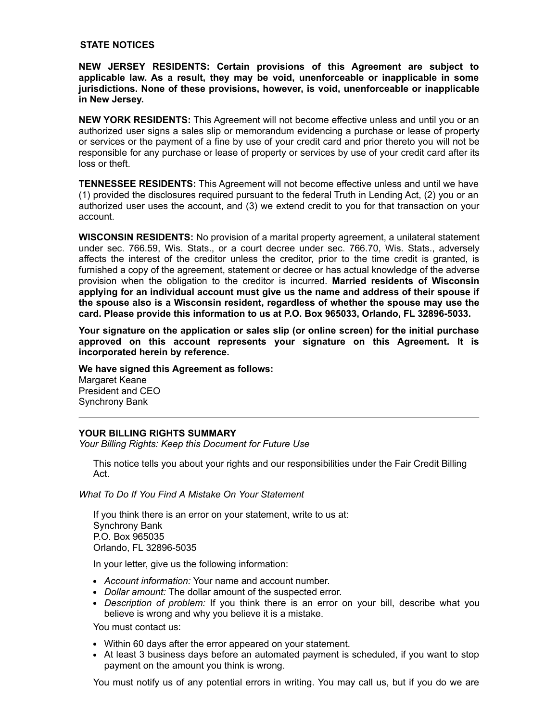#### **STATE NOTICES**

**NEW JERSEY RESIDENTS: Certain provisions of this Agreement are subject to applicable law. As a result, they may be void, unenforceable or inapplicable in some jurisdictions. None of these provisions, however, is void, unenforceable or inapplicable in New Jersey.**

**NEW YORK RESIDENTS:** This Agreement will not become effective unless and until you or an authorized user signs a sales slip or memorandum evidencing a purchase or lease of property or services or the payment of a fine by use of your credit card and prior thereto you will not be responsible for any purchase or lease of property or services by use of your credit card after its loss or theft.

**TENNESSEE RESIDENTS:** This Agreement will not become effective unless and until we have (1) provided the disclosures required pursuant to the federal Truth in Lending Act, (2) you or an authorized user uses the account, and (3) we extend credit to you for that transaction on your account.

**WISCONSIN RESIDENTS:** No provision of a marital property agreement, a unilateral statement under sec. 766.59, Wis. Stats., or a court decree under sec. 766.70, Wis. Stats., adversely affects the interest of the creditor unless the creditor, prior to the time credit is granted, is furnished a copy of the agreement, statement or decree or has actual knowledge of the adverse provision when the obligation to the creditor is incurred. **Married residents of Wisconsin applying for an individual account must give us the name and address of their spouse if the spouse also is a Wisconsin resident, regardless of whether the spouse may use the card. Please provide this information to us at P.O. Box 965033, Orlando, FL 328965033.**

**Your signature on the application or sales slip (or online screen) for the initial purchase approved on this account represents your signature on this Agreement. It is incorporated herein by reference.**

**We have signed this Agreement as follows:**

Margaret Keane President and CEO Synchrony Bank

### **YOUR BILLING RIGHTS SUMMARY**

*Your Billing Rights: Keep this Document for Future Use*

This notice tells you about your rights and our responsibilities under the Fair Credit Billing Act.

*What To Do If You Find A Mistake On Your Statement*

If you think there is an error on your statement, write to us at: Synchrony Bank P.O. Box 965035 Orlando, FL 32896-5035

In your letter, give us the following information:

- *Account information:* Your name and account number.
- *Dollar amount:* The dollar amount of the suspected error.
- *Description of problem:* If you think there is an error on your bill, describe what you believe is wrong and why you believe it is a mistake.

You must contact us:

- Within 60 days after the error appeared on your statement.
- At least 3 business days before an automated payment is scheduled, if you want to stop payment on the amount you think is wrong.

You must notify us of any potential errors in writing. You may call us, but if you do we are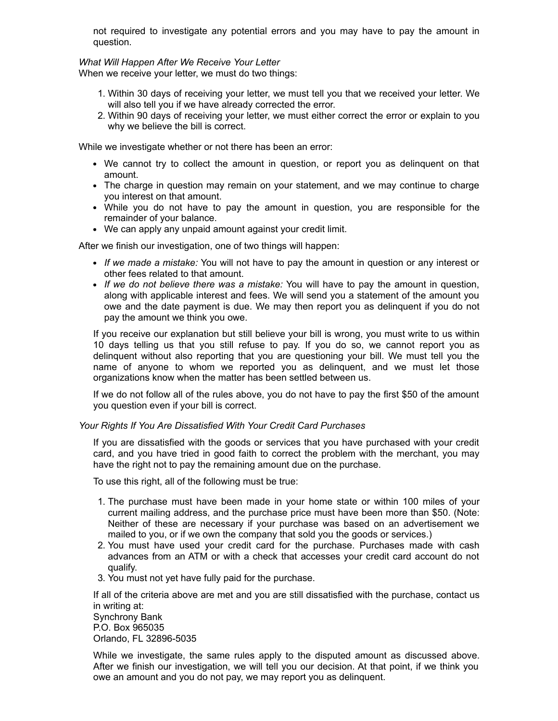not required to investigate any potential errors and you may have to pay the amount in question.

#### *What Will Happen After We Receive Your Letter*

When we receive your letter, we must do two things:

- 1. Within 30 days of receiving your letter, we must tell you that we received your letter. We will also tell you if we have already corrected the error.
- 2. Within 90 days of receiving your letter, we must either correct the error or explain to you why we believe the bill is correct.

While we investigate whether or not there has been an error:

- We cannot try to collect the amount in question, or report you as delinquent on that amount.
- The charge in question may remain on your statement, and we may continue to charge you interest on that amount.
- While you do not have to pay the amount in question, you are responsible for the remainder of your balance.
- We can apply any unpaid amount against your credit limit.

After we finish our investigation, one of two things will happen:

- *If we made a mistake:* You will not have to pay the amount in question or any interest or other fees related to that amount.
- *If we do not believe there was a mistake:* You will have to pay the amount in question, along with applicable interest and fees. We will send you a statement of the amount you owe and the date payment is due. We may then report you as delinquent if you do not pay the amount we think you owe.

If you receive our explanation but still believe your bill is wrong, you must write to us within 10 days telling us that you still refuse to pay. If you do so, we cannot report you as delinquent without also reporting that you are questioning your bill. We must tell you the name of anyone to whom we reported you as delinquent, and we must let those organizations know when the matter has been settled between us.

If we do not follow all of the rules above, you do not have to pay the first \$50 of the amount you question even if your bill is correct.

### *Your Rights If You Are Dissatisfied With Your Credit Card Purchases*

If you are dissatisfied with the goods or services that you have purchased with your credit card, and you have tried in good faith to correct the problem with the merchant, you may have the right not to pay the remaining amount due on the purchase.

To use this right, all of the following must be true:

- 1. The purchase must have been made in your home state or within 100 miles of your current mailing address, and the purchase price must have been more than \$50. (Note: Neither of these are necessary if your purchase was based on an advertisement we mailed to you, or if we own the company that sold you the goods or services.)
- 2. You must have used your credit card for the purchase. Purchases made with cash advances from an ATM or with a check that accesses your credit card account do not qualify.
- 3. You must not yet have fully paid for the purchase.

If all of the criteria above are met and you are still dissatisfied with the purchase, contact us in writing at:

Synchrony Bank P.O. Box 965035 Orlando, FL 32896-5035

While we investigate, the same rules apply to the disputed amount as discussed above. After we finish our investigation, we will tell you our decision. At that point, if we think you owe an amount and you do not pay, we may report you as delinquent.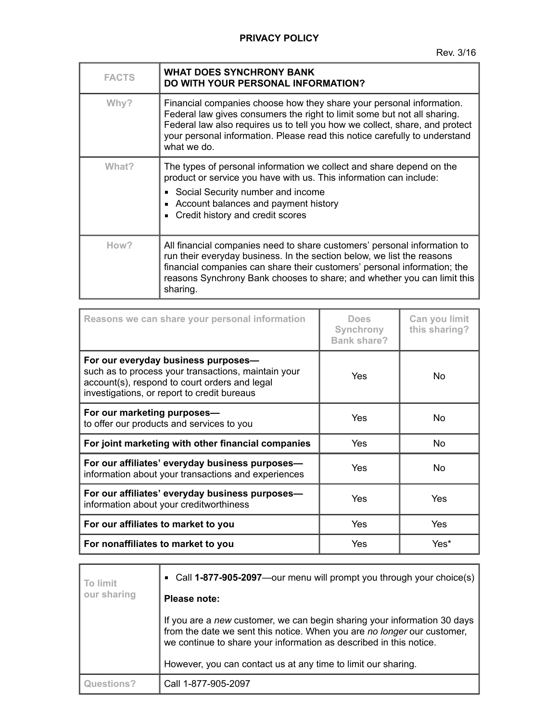| <b>FACTS</b> | <b>WHAT DOES SYNCHRONY BANK</b><br><b>DO WITH YOUR PERSONAL INFORMATION?</b>                                                                                                                                                                                                                                                 |
|--------------|------------------------------------------------------------------------------------------------------------------------------------------------------------------------------------------------------------------------------------------------------------------------------------------------------------------------------|
| Why?         | Financial companies choose how they share your personal information.<br>Federal law gives consumers the right to limit some but not all sharing.<br>Federal law also requires us to tell you how we collect, share, and protect<br>your personal information. Please read this notice carefully to understand<br>what we do. |
| What?        | The types of personal information we collect and share depend on the<br>product or service you have with us. This information can include:<br>Social Security number and income<br>Account balances and payment history<br>Credit history and credit scores                                                                  |
| How?         | All financial companies need to share customers' personal information to<br>run their everyday business. In the section below, we list the reasons<br>financial companies can share their customers' personal information; the<br>reasons Synchrony Bank chooses to share; and whether you can limit this<br>sharing.        |

| Reasons we can share your personal information                                                                                                                                             | <b>Does</b><br>Synchrony<br><b>Bank share?</b> | Can you limit<br>this sharing? |
|--------------------------------------------------------------------------------------------------------------------------------------------------------------------------------------------|------------------------------------------------|--------------------------------|
| For our everyday business purposes-<br>such as to process your transactions, maintain your<br>account(s), respond to court orders and legal<br>investigations, or report to credit bureaus | Yes                                            | No.                            |
| For our marketing purposes-<br>to offer our products and services to you                                                                                                                   | Yes                                            | No                             |
| For joint marketing with other financial companies                                                                                                                                         | Yes                                            | No                             |
| For our affiliates' everyday business purposes-<br>information about your transactions and experiences                                                                                     | Yes                                            | No.                            |
| For our affiliates' everyday business purposes-<br>information about your creditworthiness                                                                                                 | Yes                                            | Yes                            |
| For our affiliates to market to you                                                                                                                                                        | Yes                                            | Yes                            |
| For nonaffiliates to market to you                                                                                                                                                         | Yes                                            | Yes*                           |

| To limit<br>our sharing | • Call 1-877-905-2097—our menu will prompt you through your choice(s)                                                                                                                                                     |
|-------------------------|---------------------------------------------------------------------------------------------------------------------------------------------------------------------------------------------------------------------------|
|                         | Please note:                                                                                                                                                                                                              |
|                         | If you are a new customer, we can begin sharing your information 30 days<br>from the date we sent this notice. When you are no longer our customer,<br>we continue to share your information as described in this notice. |
|                         | However, you can contact us at any time to limit our sharing.                                                                                                                                                             |
| Questions?              | Call 1-877-905-2097                                                                                                                                                                                                       |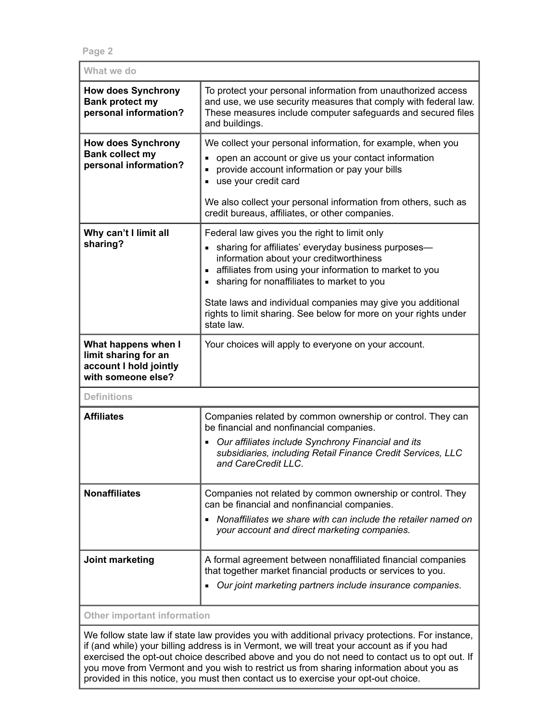**Page 2**

| What we do                                                                                  |                                                                                                                                                                                                                                                                                                                           |
|---------------------------------------------------------------------------------------------|---------------------------------------------------------------------------------------------------------------------------------------------------------------------------------------------------------------------------------------------------------------------------------------------------------------------------|
| <b>How does Synchrony</b><br><b>Bank protect my</b><br>personal information?                | To protect your personal information from unauthorized access<br>and use, we use security measures that comply with federal law.<br>These measures include computer safeguards and secured files<br>and buildings.                                                                                                        |
| <b>How does Synchrony</b><br><b>Bank collect my</b><br>personal information?                | We collect your personal information, for example, when you<br>open an account or give us your contact information<br>provide account information or pay your bills<br>use your credit card<br>We also collect your personal information from others, such as                                                             |
|                                                                                             | credit bureaus, affiliates, or other companies.                                                                                                                                                                                                                                                                           |
| Why can't I limit all<br>sharing?                                                           | Federal law gives you the right to limit only<br>• sharing for affiliates' everyday business purposes-<br>information about your creditworthiness<br>affiliates from using your information to market to you<br>sharing for nonaffiliates to market to you<br>State laws and individual companies may give you additional |
|                                                                                             | rights to limit sharing. See below for more on your rights under<br>state law.                                                                                                                                                                                                                                            |
| What happens when I<br>limit sharing for an<br>account I hold jointly<br>with someone else? | Your choices will apply to everyone on your account.                                                                                                                                                                                                                                                                      |
| <b>Definitions</b>                                                                          |                                                                                                                                                                                                                                                                                                                           |
| <b>Affiliates</b>                                                                           | Companies related by common ownership or control. They can<br>be financial and nonfinancial companies.<br>Our affiliates include Synchrony Financial and its<br>$\blacksquare$<br>subsidiaries, including Retail Finance Credit Services, LLC<br>and CareCredit LLC.                                                      |
| <b>Nonaffiliates</b>                                                                        | Companies not related by common ownership or control. They<br>can be financial and nonfinancial companies.<br>Nonaffiliates we share with can include the retailer named on<br>$\blacksquare$<br>your account and direct marketing companies.                                                                             |
| Joint marketing                                                                             | A formal agreement between nonaffiliated financial companies<br>that together market financial products or services to you.<br>Our joint marketing partners include insurance companies.<br>٠                                                                                                                             |
| <b>Other important information</b>                                                          |                                                                                                                                                                                                                                                                                                                           |

We follow state law if state law provides you with additional privacy protections. For instance, if (and while) your billing address is in Vermont, we will treat your account as if you had exercised the opt-out choice described above and you do not need to contact us to opt out. If you move from Vermont and you wish to restrict us from sharing information about you as provided in this notice, you must then contact us to exercise your opt-out choice.